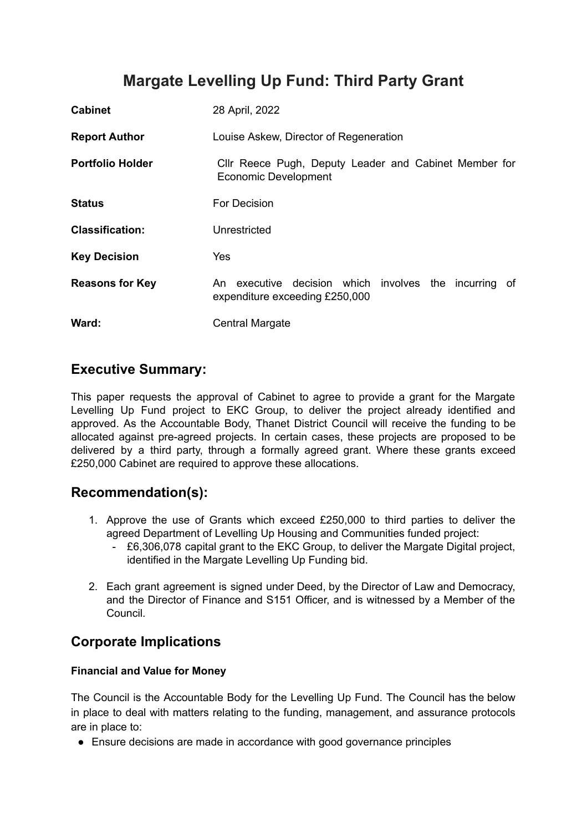# **Margate Levelling Up Fund: Third Party Grant**

| <b>Cabinet</b>          | 28 April, 2022                                                                             |
|-------------------------|--------------------------------------------------------------------------------------------|
| <b>Report Author</b>    | Louise Askew, Director of Regeneration                                                     |
| <b>Portfolio Holder</b> | Cllr Reece Pugh, Deputy Leader and Cabinet Member for<br><b>Economic Development</b>       |
| <b>Status</b>           | For Decision                                                                               |
| <b>Classification:</b>  | Unrestricted                                                                               |
| <b>Key Decision</b>     | Yes                                                                                        |
| <b>Reasons for Key</b>  | An executive decision which involves the incurring<br>of<br>expenditure exceeding £250,000 |
| Ward:                   | <b>Central Margate</b>                                                                     |

### **Executive Summary:**

This paper requests the approval of Cabinet to agree to provide a grant for the Margate Levelling Up Fund project to EKC Group, to deliver the project already identified and approved. As the Accountable Body, Thanet District Council will receive the funding to be allocated against pre-agreed projects. In certain cases, these projects are proposed to be delivered by a third party, through a formally agreed grant. Where these grants exceed £250,000 Cabinet are required to approve these allocations.

### **Recommendation(s):**

- 1. Approve the use of Grants which exceed £250,000 to third parties to deliver the agreed Department of Levelling Up Housing and Communities funded project:
	- £6,306,078 capital grant to the EKC Group, to deliver the Margate Digital project, identified in the Margate Levelling Up Funding bid.
- 2. Each grant agreement is signed under Deed, by the Director of Law and Democracy, and the Director of Finance and S151 Officer, and is witnessed by a Member of the Council.

### **Corporate Implications**

#### **Financial and Value for Money**

The Council is the Accountable Body for the Levelling Up Fund. The Council has the below in place to deal with matters relating to the funding, management, and assurance protocols are in place to:

● Ensure decisions are made in accordance with good governance principles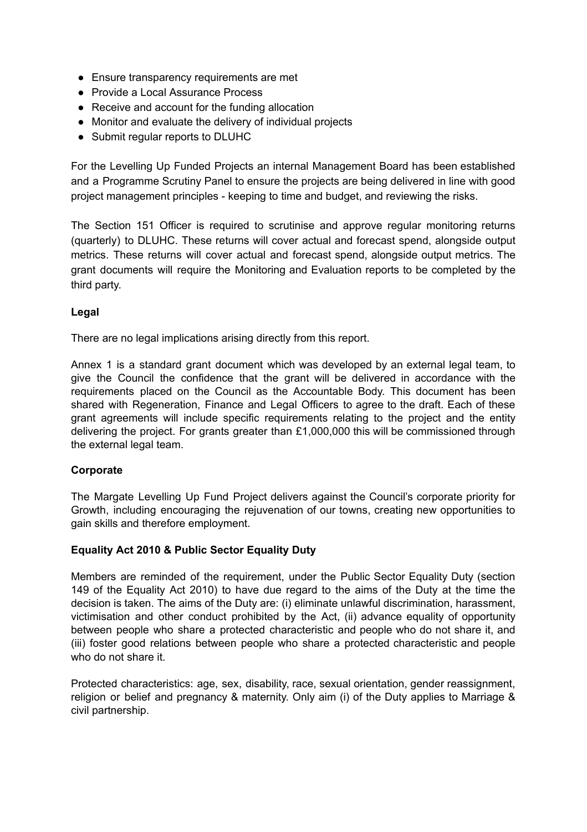- Ensure transparency requirements are met
- Provide a Local Assurance Process
- Receive and account for the funding allocation
- Monitor and evaluate the delivery of individual projects
- Submit regular reports to DLUHC

For the Levelling Up Funded Projects an internal Management Board has been established and a Programme Scrutiny Panel to ensure the projects are being delivered in line with good project management principles - keeping to time and budget, and reviewing the risks.

The Section 151 Officer is required to scrutinise and approve regular monitoring returns (quarterly) to DLUHC. These returns will cover actual and forecast spend, alongside output metrics. These returns will cover actual and forecast spend, alongside output metrics. The grant documents will require the Monitoring and Evaluation reports to be completed by the third party.

#### **Legal**

There are no legal implications arising directly from this report.

Annex 1 is a standard grant document which was developed by an external legal team, to give the Council the confidence that the grant will be delivered in accordance with the requirements placed on the Council as the Accountable Body. This document has been shared with Regeneration, Finance and Legal Officers to agree to the draft. Each of these grant agreements will include specific requirements relating to the project and the entity delivering the project. For grants greater than £1,000,000 this will be commissioned through the external legal team.

#### **Corporate**

The Margate Levelling Up Fund Project delivers against the Council's corporate priority for Growth, including encouraging the rejuvenation of our towns, creating new opportunities to gain skills and therefore employment.

#### **Equality Act 2010 & Public Sector Equality Duty**

Members are reminded of the requirement, under the Public Sector Equality Duty (section 149 of the Equality Act 2010) to have due regard to the aims of the Duty at the time the decision is taken. The aims of the Duty are: (i) eliminate unlawful discrimination, harassment, victimisation and other conduct prohibited by the Act, (ii) advance equality of opportunity between people who share a protected characteristic and people who do not share it, and (iii) foster good relations between people who share a protected characteristic and people who do not share it.

Protected characteristics: age, sex, disability, race, sexual orientation, gender reassignment, religion or belief and pregnancy & maternity. Only aim (i) of the Duty applies to Marriage & civil partnership.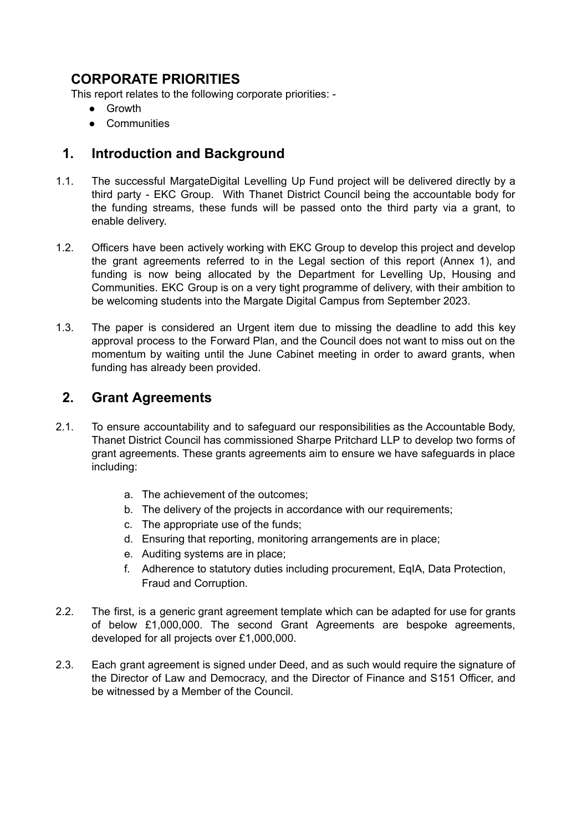# **CORPORATE PRIORITIES**

This report relates to the following corporate priorities: -

- Growth
- Communities

### **1. Introduction and Background**

- 1.1. The successful MargateDigital Levelling Up Fund project will be delivered directly by a third party - EKC Group. With Thanet District Council being the accountable body for the funding streams, these funds will be passed onto the third party via a grant, to enable delivery.
- 1.2. Officers have been actively working with EKC Group to develop this project and develop the grant agreements referred to in the Legal section of this report (Annex 1), and funding is now being allocated by the Department for Levelling Up, Housing and Communities. EKC Group is on a very tight programme of delivery, with their ambition to be welcoming students into the Margate Digital Campus from September 2023.
- 1.3. The paper is considered an Urgent item due to missing the deadline to add this key approval process to the Forward Plan, and the Council does not want to miss out on the momentum by waiting until the June Cabinet meeting in order to award grants, when funding has already been provided.

## **2. Grant Agreements**

- 2.1. To ensure accountability and to safeguard our responsibilities as the Accountable Body, Thanet District Council has commissioned Sharpe Pritchard LLP to develop two forms of grant agreements. These grants agreements aim to ensure we have safeguards in place including:
	- a. The achievement of the outcomes;
	- b. The delivery of the projects in accordance with our requirements;
	- c. The appropriate use of the funds;
	- d. Ensuring that reporting, monitoring arrangements are in place;
	- e. Auditing systems are in place;
	- f. Adherence to statutory duties including procurement, EqIA, Data Protection, Fraud and Corruption.
- 2.2. The first, is a generic grant agreement template which can be adapted for use for grants of below £1,000,000. The second Grant Agreements are bespoke agreements, developed for all projects over £1,000,000.
- 2.3. Each grant agreement is signed under Deed, and as such would require the signature of the Director of Law and Democracy, and the Director of Finance and S151 Officer, and be witnessed by a Member of the Council.